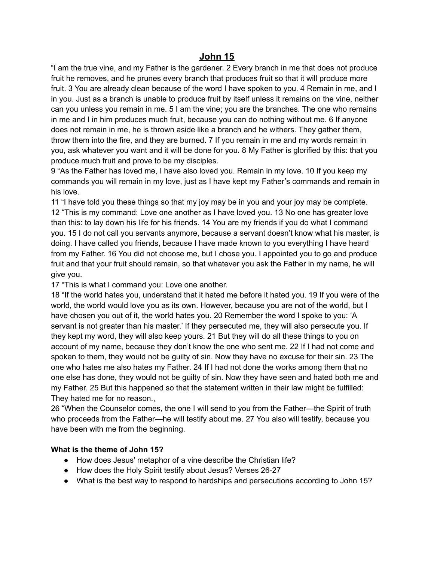## **John 15**

"I am the true vine, and my Father is the gardener. 2 Every branch in me that does not produce fruit he removes, and he prunes every branch that produces fruit so that it will produce more fruit. 3 You are already clean because of the word I have spoken to you. 4 Remain in me, and I in you. Just as a branch is unable to produce fruit by itself unless it remains on the vine, neither can you unless you remain in me. 5 I am the vine; you are the branches. The one who remains in me and I in him produces much fruit, because you can do nothing without me. 6 If anyone does not remain in me, he is thrown aside like a branch and he withers. They gather them, throw them into the fire, and they are burned. 7 If you remain in me and my words remain in you, ask whatever you want and it will be done for you. 8 My Father is glorified by this: that you produce much fruit and prove to be my disciples.

9 "As the Father has loved me, I have also loved you. Remain in my love. 10 If you keep my commands you will remain in my love, just as I have kept my Father's commands and remain in his love.

11 "I have told you these things so that my joy may be in you and your joy may be complete. 12 "This is my command: Love one another as I have loved you. 13 No one has greater love than this: to lay down his life for his friends. 14 You are my friends if you do what I command you. 15 I do not call you servants anymore, because a servant doesn't know what his master, is doing. I have called you friends, because I have made known to you everything I have heard from my Father. 16 You did not choose me, but I chose you. I appointed you to go and produce fruit and that your fruit should remain, so that whatever you ask the Father in my name, he will give you.

17 "This is what I command you: Love one another.

18 "If the world hates you, understand that it hated me before it hated you. 19 If you were of the world, the world would love you as its own. However, because you are not of the world, but I have chosen you out of it, the world hates you. 20 Remember the word I spoke to you: 'A servant is not greater than his master.' If they persecuted me, they will also persecute you. If they kept my word, they will also keep yours. 21 But they will do all these things to you on account of my name, because they don't know the one who sent me. 22 If I had not come and spoken to them, they would not be guilty of sin. Now they have no excuse for their sin. 23 The one who hates me also hates my Father. 24 If I had not done the works among them that no one else has done, they would not be guilty of sin. Now they have seen and hated both me and my Father. 25 But this happened so that the statement written in their law might be fulfilled: They hated me for no reason.,

26 "When the Counselor comes, the one I will send to you from the Father—the Spirit of truth who proceeds from the Father—he will testify about me. 27 You also will testify, because you have been with me from the beginning.

## **What is the theme of John 15?**

- How does Jesus' metaphor of a vine describe the Christian life?
- How does the Holy Spirit testify about Jesus? Verses 26-27
- What is the best way to respond to hardships and persecutions according to John 15?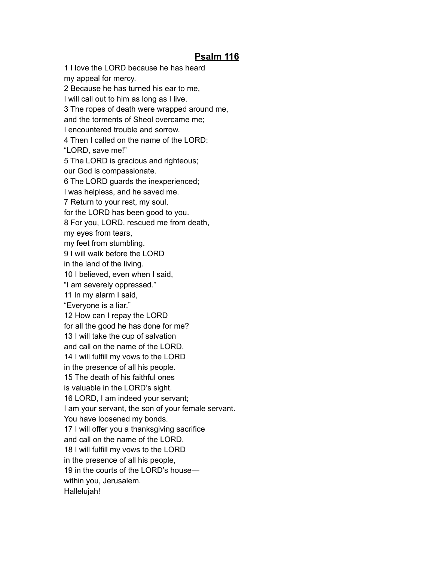## **Psalm 116**

1 I love the LORD because he has heard my appeal for mercy. 2 Because he has turned his ear to me, I will call out to him as long as I live. 3 The ropes of death were wrapped around me, and the torments of Sheol overcame me; I encountered trouble and sorrow. 4 Then I called on the name of the LORD: "LORD, save me!" 5 The LORD is gracious and righteous; our God is compassionate. 6 The LORD guards the inexperienced; I was helpless, and he saved me. 7 Return to your rest, my soul, for the LORD has been good to you. 8 For you, LORD, rescued me from death, my eyes from tears, my feet from stumbling. 9 I will walk before the LORD in the land of the living. 10 I believed, even when I said, "I am severely oppressed." 11 In my alarm I said, "Everyone is a liar." 12 How can I repay the LORD for all the good he has done for me? 13 I will take the cup of salvation and call on the name of the LORD. 14 I will fulfill my vows to the LORD in the presence of all his people. 15 The death of his faithful ones is valuable in the LORD's sight. 16 LORD, I am indeed your servant; I am your servant, the son of your female servant. You have loosened my bonds. 17 I will offer you a thanksgiving sacrifice and call on the name of the LORD. 18 I will fulfill my vows to the LORD in the presence of all his people, 19 in the courts of the LORD's house within you, Jerusalem. Hallelujah!